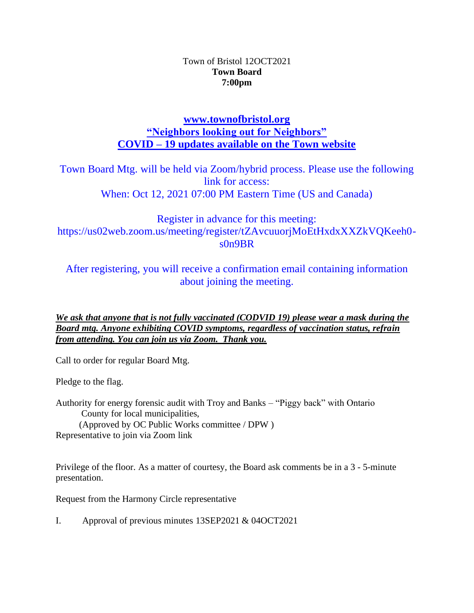# Town of Bristol 12OCT2021 **Town Board 7:00pm**

# **[www.townofbristol.org](http://www.townofbristol.org/) "Neighbors looking out for Neighbors" COVID – 19 updates available on the Town website**

Town Board Mtg. will be held via Zoom/hybrid process. Please use the following link for access: When: Oct 12, 2021 07:00 PM Eastern Time (US and Canada)

Register in advance for this meeting: https://us02web.zoom.us/meeting/register/tZAvcuuorjMoEtHxdxXXZkVQKeeh0 s0n9BR

After registering, you will receive a confirmation email containing information about joining the meeting.

*We ask that anyone that is not fully vaccinated (CODVID 19) please wear a mask during the Board mtg. Anyone exhibiting COVID symptoms, regardless of vaccination status, refrain from attending. You can join us via Zoom. Thank you.*

Call to order for regular Board Mtg.

Pledge to the flag.

Authority for energy forensic audit with Troy and Banks – "Piggy back" with Ontario County for local municipalities, (Approved by OC Public Works committee / DPW ) Representative to join via Zoom link

Privilege of the floor. As a matter of courtesy, the Board ask comments be in a 3 - 5-minute presentation.

Request from the Harmony Circle representative

I. Approval of previous minutes 13SEP2021 & 04OCT2021